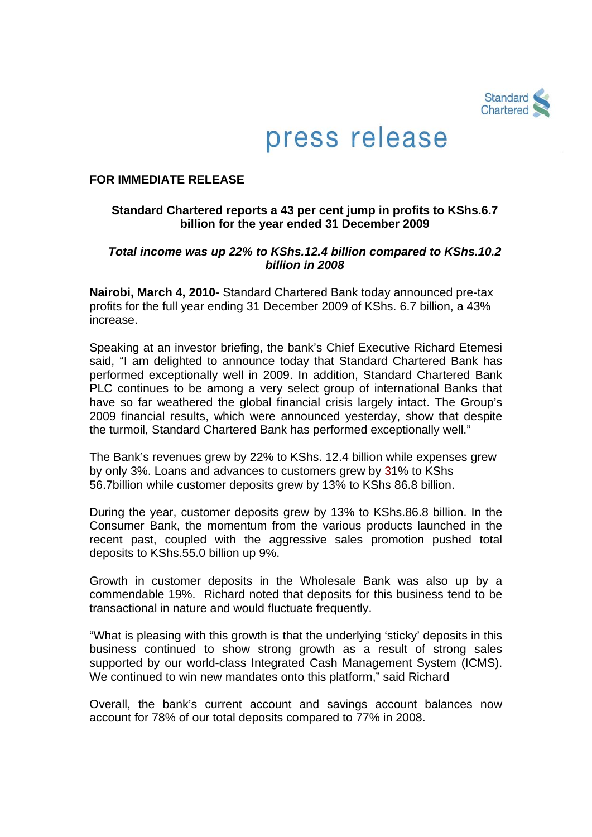

# press release

#### **FOR IMMEDIATE RELEASE**

# **Standard Chartered reports a 43 per cent jump in profits to KShs.6.7 billion for the year ended 31 December 2009**

# *Total income was up 22% to KShs.12.4 billion compared to KShs.10.2 billion in 2008*

**Nairobi, March 4, 2010-** Standard Chartered Bank today announced pre-tax profits for the full year ending 31 December 2009 of KShs. 6.7 billion, a 43% increase.

Speaking at an investor briefing, the bank's Chief Executive Richard Etemesi said, "I am delighted to announce today that Standard Chartered Bank has performed exceptionally well in 2009. In addition, Standard Chartered Bank PLC continues to be among a very select group of international Banks that have so far weathered the global financial crisis largely intact. The Group's 2009 financial results, which were announced yesterday, show that despite the turmoil, Standard Chartered Bank has performed exceptionally well."

The Bank's revenues grew by 22% to KShs. 12.4 billion while expenses grew by only 3%. Loans and advances to customers grew by 31% to KShs 56.7billion while customer deposits grew by 13% to KShs 86.8 billion.

During the year, customer deposits grew by 13% to KShs.86.8 billion. In the Consumer Bank, the momentum from the various products launched in the recent past, coupled with the aggressive sales promotion pushed total deposits to KShs.55.0 billion up 9%.

Growth in customer deposits in the Wholesale Bank was also up by a commendable 19%. Richard noted that deposits for this business tend to be transactional in nature and would fluctuate frequently.

"What is pleasing with this growth is that the underlying 'sticky' deposits in this business continued to show strong growth as a result of strong sales supported by our world-class Integrated Cash Management System (ICMS). We continued to win new mandates onto this platform," said Richard

Overall, the bank's current account and savings account balances now account for 78% of our total deposits compared to 77% in 2008.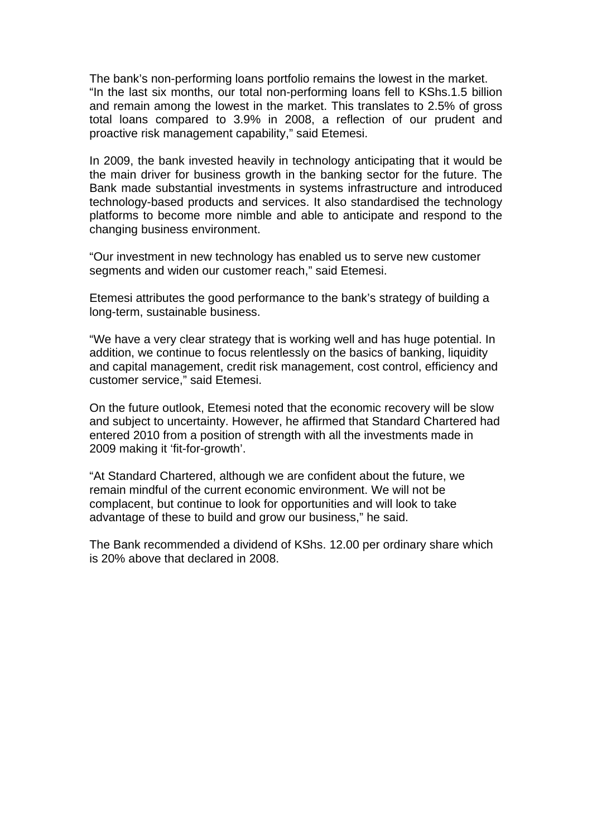The bank's non-performing loans portfolio remains the lowest in the market. "In the last six months, our total non-performing loans fell to KShs.1.5 billion and remain among the lowest in the market. This translates to 2.5% of gross total loans compared to 3.9% in 2008, a reflection of our prudent and proactive risk management capability," said Etemesi.

In 2009, the bank invested heavily in technology anticipating that it would be the main driver for business growth in the banking sector for the future. The Bank made substantial investments in systems infrastructure and introduced technology-based products and services. It also standardised the technology platforms to become more nimble and able to anticipate and respond to the changing business environment.

"Our investment in new technology has enabled us to serve new customer segments and widen our customer reach," said Etemesi.

Etemesi attributes the good performance to the bank's strategy of building a long-term, sustainable business.

"We have a very clear strategy that is working well and has huge potential. In addition, we continue to focus relentlessly on the basics of banking, liquidity and capital management, credit risk management, cost control, efficiency and customer service," said Etemesi.

On the future outlook, Etemesi noted that the economic recovery will be slow and subject to uncertainty. However, he affirmed that Standard Chartered had entered 2010 from a position of strength with all the investments made in 2009 making it 'fit-for-growth'.

"At Standard Chartered, although we are confident about the future, we remain mindful of the current economic environment. We will not be complacent, but continue to look for opportunities and will look to take advantage of these to build and grow our business," he said.

The Bank recommended a dividend of KShs. 12.00 per ordinary share which is 20% above that declared in 2008.